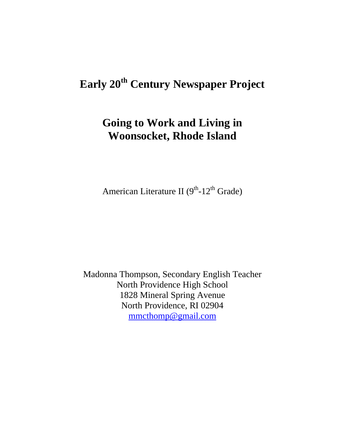# **Early 20th Century Newspaper Project**

## **Going to Work and Living in Woonsocket, Rhode Island**

American Literature II  $(9<sup>th</sup>-12<sup>th</sup>$  Grade)

Madonna Thompson, Secondary English Teacher North Providence High School 1828 Mineral Spring Avenue North Providence, RI 02904 mmcthomp@gmail.com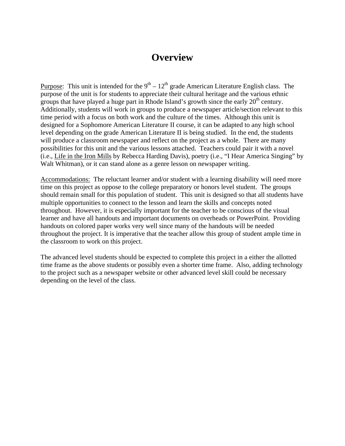### **Overview**

Purpose: This unit is intended for the  $9<sup>th</sup> - 12<sup>th</sup>$  grade American Literature English class. The purpose of the unit is for students to appreciate their cultural heritage and the various ethnic groups that have played a huge part in Rhode Island's growth since the early  $20<sup>th</sup>$  century. Additionally, students will work in groups to produce a newspaper article/section relevant to this time period with a focus on both work and the culture of the times. Although this unit is designed for a Sophomore American Literature II course, it can be adapted to any high school level depending on the grade American Literature II is being studied. In the end, the students will produce a classroom newspaper and reflect on the project as a whole. There are many possibilities for this unit and the various lessons attached. Teachers could pair it with a novel (i.e., Life in the Iron Mills by Rebecca Harding Davis), poetry (i.e., "I Hear America Singing" by Walt Whitman), or it can stand alone as a genre lesson on newspaper writing.

Accommodations: The reluctant learner and/or student with a learning disability will need more time on this project as oppose to the college preparatory or honors level student. The groups should remain small for this population of student. This unit is designed so that all students have multiple opportunities to connect to the lesson and learn the skills and concepts noted throughout. However, it is especially important for the teacher to be conscious of the visual learner and have all handouts and important documents on overheads or PowerPoint. Providing handouts on colored paper works very well since many of the handouts will be needed throughout the project. It is imperative that the teacher allow this group of student ample time in the classroom to work on this project.

The advanced level students should be expected to complete this project in a either the allotted time frame as the above students or possibly even a shorter time frame. Also, adding technology to the project such as a newspaper website or other advanced level skill could be necessary depending on the level of the class.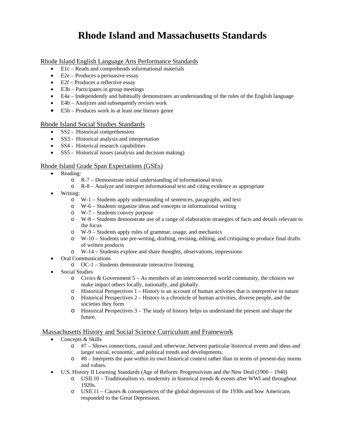### **Rhode Island and Massachusetts Standards**

#### Rhode Island English Language Arts Performance Standards

- E1c Reads and comprehends informational materials
- $\bullet$  E2e Produces a persuasive essay
- E2f Produces a reflective essay
- E3b Participates in group meetings
- E4a Independently and habitually demonstrates an understanding of the rules of the English language
- E4b Analyzes and subsequently revises work
- E5b Produces work in at least one literary genre

#### Rhode Island Social Studies Standards

- SS2 Historical comprehension
- SS3 Historical analysis and interpretation
- SS4 Historical research capabilities
- SS5 Historical issues (analysis and decision making)

#### Rhode Island Grade Span Expectations (GSEs)

- Reading:
	- o R-7 Demonstrate initial understanding of informational texts
	- o R-8 Analyze and interpret informational text and citing evidence as appropriate
- Writing:
	- o W-1 Students apply understanding of sentences, paragraphs, and text
	- o W-6 Students organize ideas and concepts in informational writing
	- o W-7 Students convey purpose
	- o W-8 Students demonstrate use of a range of elaboration strategies of facts and details relevant to the focus
	- o W-9 Students apply rules of grammar, usage, and mechanics
	- o W-10 Students use pre-writing, drafting, revising, editing, and critiquing to produce final drafts of written products
	- o W-14 Students explore and share thoughts, observations, impressions
	- Oral Communications
		- o OC-1 Students demonstrate interactive listening
- Social Studies
	- $\circ$  Civics & Government 5 As members of an interconnected world community, the choices we make impact others locally, nationally, and globally.
	- o Historical Perspectives 1 History is an account of human activities that is interpretive in nature
	- o Historical Perspectives 2 History is a chronicle of human activities, diverse people, and the societies they form
	- $\circ$  Historical Perspectives  $3$  The study of history helps us understand the present and shape the future.

#### Massachusetts History and Social Science Curriculum and Framework

- Concepts & Skills
	- o #7 Shows connections, causal and otherwise, between particular historical events and ideas and larger social, economic, and political trends and developments.
	- o #8 Interprets the past within its own historical context rather than in terms of present-day norms and values.
- U.S. History II Learning Standards (Age of Reform: Progressivism and the New Deal (1900 1940)
	- $\circ$  USII.10 Traditionalism vs. modernity in historical trends & events after WWI and throughout 1920s.
	- $\circ$  USII.11 Causes & consequences of the global depression of the 1930s and how Americans responded to the Great Depression.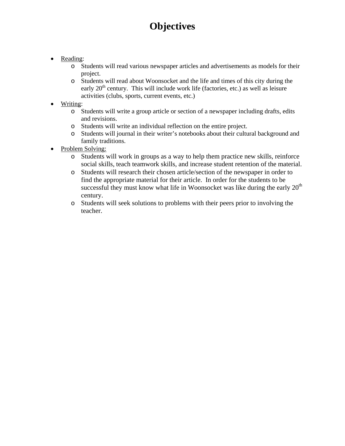## **Objectives**

- Reading:
	- o Students will read various newspaper articles and advertisements as models for their project.
	- o Students will read about Woonsocket and the life and times of this city during the early  $20<sup>th</sup>$  century. This will include work life (factories, etc.) as well as leisure activities (clubs, sports, current events, etc.)
- Writing:
	- o Students will write a group article or section of a newspaper including drafts, edits and revisions.
	- o Students will write an individual reflection on the entire project.
	- o Students will journal in their writer's notebooks about their cultural background and family traditions.
- Problem Solving:
	- o Students will work in groups as a way to help them practice new skills, reinforce social skills, teach teamwork skills, and increase student retention of the material.
	- o Students will research their chosen article/section of the newspaper in order to find the appropriate material for their article. In order for the students to be successful they must know what life in Woonsocket was like during the early  $20<sup>th</sup>$ century.
	- o Students will seek solutions to problems with their peers prior to involving the teacher.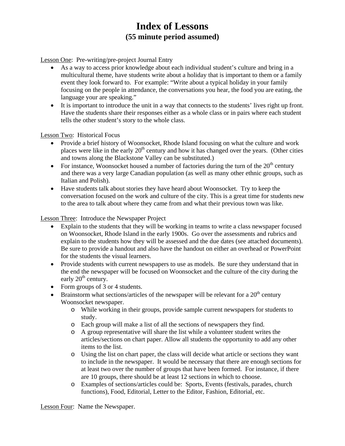### **Index of Lessons (55 minute period assumed)**

Lesson One: Pre-writing/pre-project Journal Entry

- As a way to access prior knowledge about each individual student's culture and bring in a multicultural theme, have students write about a holiday that is important to them or a family event they look forward to. For example: "Write about a typical holiday in your family focusing on the people in attendance, the conversations you hear, the food you are eating, the language your are speaking."
- It is important to introduce the unit in a way that connects to the students' lives right up front. Have the students share their responses either as a whole class or in pairs where each student tells the other student's story to the whole class.

Lesson Two: Historical Focus

- Provide a brief history of Woonsocket, Rhode Island focusing on what the culture and work places were like in the early  $20<sup>th</sup>$  century and how it has changed over the years. (Other cities and towns along the Blackstone Valley can be substituted.)
- For instance, Woonsocket housed a number of factories during the turn of the  $20<sup>th</sup>$  century and there was a very large Canadian population (as well as many other ethnic groups, such as Italian and Polish).
- Have students talk about stories they have heard about Woonsocket. Try to keep the conversation focused on the work and culture of the city. This is a great time for students new to the area to talk about where they came from and what their previous town was like.

Lesson Three: Introduce the Newspaper Project

- Explain to the students that they will be working in teams to write a class newspaper focused on Woonsocket, Rhode Island in the early 1900s. Go over the assessments and rubrics and explain to the students how they will be assessed and the due dates (see attached documents). Be sure to provide a handout and also have the handout on either an overhead or PowerPoint for the students the visual learners.
- Provide students with current newspapers to use as models. Be sure they understand that in the end the newspaper will be focused on Woonsocket and the culture of the city during the early  $20<sup>th</sup>$  century.
- Form groups of 3 or 4 students.
- **•** Brainstorm what sections/articles of the newspaper will be relevant for a  $20<sup>th</sup>$  century Woonsocket newspaper.
	- o While working in their groups, provide sample current newspapers for students to study.
	- o Each group will make a list of all the sections of newspapers they find.
	- o A group representative will share the list while a volunteer student writes the articles/sections on chart paper. Allow all students the opportunity to add any other items to the list.
	- o Using the list on chart paper, the class will decide what article or sections they want to include in the newspaper. It would be necessary that there are enough sections for at least two over the number of groups that have been formed. For instance, if there are 10 groups, there should be at least 12 sections in which to choose.
	- o Examples of sections/articles could be: Sports, Events (festivals, parades, church functions), Food, Editorial, Letter to the Editor, Fashion, Editorial, etc.

Lesson Four: Name the Newspaper.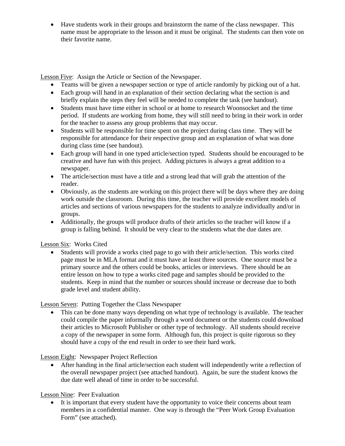Have students work in their groups and brainstorm the name of the class newspaper. This name must be appropriate to the lesson and it must be original. The students can then vote on their favorite name.

Lesson Five: Assign the Article or Section of the Newspaper.

- Teams will be given a newspaper section or type of article randomly by picking out of a hat.
- Each group will hand in an explanation of their section declaring what the section is and briefly explain the steps they feel will be needed to complete the task (see handout).
- Students must have time either in school or at home to research Woonsocket and the time period. If students are working from home, they will still need to bring in their work in order for the teacher to assess any group problems that may occur.
- Students will be responsible for time spent on the project during class time. They will be responsible for attendance for their respective group and an explanation of what was done during class time (see handout).
- Each group will hand in one typed article/section typed. Students should be encouraged to be creative and have fun with this project. Adding pictures is always a great addition to a newspaper.
- The article/section must have a title and a strong lead that will grab the attention of the reader.
- Obviously, as the students are working on this project there will be days where they are doing work outside the classroom. During this time, the teacher will provide excellent models of articles and sections of various newspapers for the students to analyze individually and/or in groups.
- Additionally, the groups will produce drafts of their articles so the teacher will know if a group is falling behind. It should be very clear to the students what the due dates are.

#### Lesson Six: Works Cited

 Students will provide a works cited page to go with their article/section. This works cited page must be in MLA format and it must have at least three sources. One source must be a primary source and the others could be books, articles or interviews. There should be an entire lesson on how to type a works cited page and samples should be provided to the students. Keep in mind that the number or sources should increase or decrease due to both grade level and student ability.

#### Lesson Seven: Putting Together the Class Newspaper

 This can be done many ways depending on what type of technology is available. The teacher could compile the paper informally through a word document or the students could download their articles to Microsoft Publisher or other type of technology. All students should receive a copy of the newspaper in some form. Although fun, this project is quite rigorous so they should have a copy of the end result in order to see their hard work.

#### Lesson Eight: Newspaper Project Reflection

 After handing in the final article/section each student will independently write a reflection of the overall newspaper project (see attached handout). Again, be sure the student knows the due date well ahead of time in order to be successful.

#### Lesson Nine: Peer Evaluation

 It is important that every student have the opportunity to voice their concerns about team members in a confidential manner. One way is through the "Peer Work Group Evaluation Form" (see attached).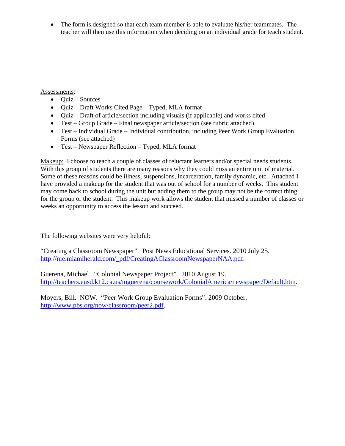• The form is designed so that each team member is able to evaluate his/her teammates. The teacher will then use this information when deciding on an individual grade for teach student.

Assessments:

- $\bullet$  Quiz Sources
- Quiz Draft Works Cited Page Typed, MLA format
- Quiz Draft of article/section including visuals (if applicable) and works cited
- Test Group Grade Final newspaper article/section (see rubric attached)
- Test Individual Grade Individual contribution, including Peer Work Group Evaluation Forms (see attached)
- Test Newspaper Reflection Typed, MLA format

Makeup: I choose to teach a couple of classes of reluctant learners and/or special needs students. With this group of students there are many reasons why they could miss an entire unit of material. Some of these reasons could be illness, suspensions, incarceration, family dynamic, etc. Attached I have provided a makeup for the student that was out of school for a number of weeks. This student may come back to school during the unit but adding them to the group may not be the correct thing for the group or the student. This makeup work allows the student that missed a number of classes or weeks an opportunity to access the lesson and succeed.

The following websites were very helpful:

"Creating a Classroom Newspaper". Post News Educational Services. 2010 July 25. http://nie.miamiherald.com/\_pdf/CreatingAClassroomNewspaperNAA.pdf.

Guerena, Michael. "Colonial Newspaper Project". 2010 August 19. http://teachers.eusd.k12.ca.us/mguerena/coursework/ColonialAmerica/newspaper/Default.htm.

Moyers, Bill. NOW. "Peer Work Group Evaluation Forms". 2009 October. http://www.pbs.org/now/classroom/peer2.pdf.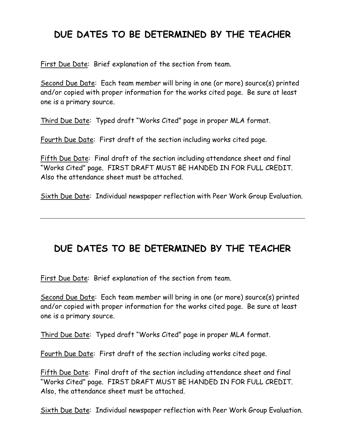### **DUE DATES TO BE DETERMINED BY THE TEACHER**

First Due Date: Brief explanation of the section from team.

Second Due Date: Each team member will bring in one (or more) source(s) printed and/or copied with proper information for the works cited page. Be sure at least one is a primary source.

Third Due Date: Typed draft "Works Cited" page in proper MLA format.

Fourth Due Date: First draft of the section including works cited page.

Fifth Due Date: Final draft of the section including attendance sheet and final "Works Cited" page. FIRST DRAFT MUST BE HANDED IN FOR FULL CREDIT. Also the attendance sheet must be attached.

Sixth Due Date: Individual newspaper reflection with Peer Work Group Evaluation.

## **DUE DATES TO BE DETERMINED BY THE TEACHER**

First Due Date: Brief explanation of the section from team.

Second Due Date: Each team member will bring in one (or more) source(s) printed and/or copied with proper information for the works cited page. Be sure at least one is a primary source.

Third Due Date: Typed draft "Works Cited" page in proper MLA format.

Fourth Due Date: First draft of the section including works cited page.

Fifth Due Date: Final draft of the section including attendance sheet and final "Works Cited" page. FIRST DRAFT MUST BE HANDED IN FOR FULL CREDIT. Also, the attendance sheet must be attached.

Sixth Due Date: Individual newspaper reflection with Peer Work Group Evaluation.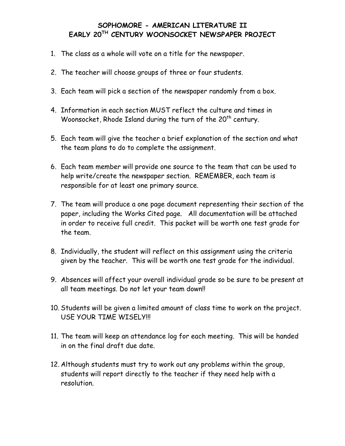#### **SOPHOMORE - AMERICAN LITERATURE II EARLY 20TH CENTURY WOONSOCKET NEWSPAPER PROJECT**

- 1. The class as a whole will vote on a title for the newspaper.
- 2. The teacher will choose groups of three or four students.
- 3. Each team will pick a section of the newspaper randomly from a box.
- 4. Information in each section MUST reflect the culture and times in Woonsocket, Rhode Island during the turn of the  $20<sup>th</sup>$  century.
- 5. Each team will give the teacher a brief explanation of the section and what the team plans to do to complete the assignment.
- 6. Each team member will provide one source to the team that can be used to help write/create the newspaper section. REMEMBER, each team is responsible for at least one primary source.
- 7. The team will produce a one page document representing their section of the paper, including the Works Cited page. All documentation will be attached in order to receive full credit. This packet will be worth one test grade for the team.
- 8. Individually, the student will reflect on this assignment using the criteria given by the teacher. This will be worth one test grade for the individual.
- 9. Absences will affect your overall individual grade so be sure to be present at all team meetings. Do not let your team down!!
- 10. Students will be given a limited amount of class time to work on the project. USE YOUR TIME WISELY!!!
- 11. The team will keep an attendance log for each meeting. This will be handed in on the final draft due date.
- 12. Although students must try to work out any problems within the group, students will report directly to the teacher if they need help with a resolution.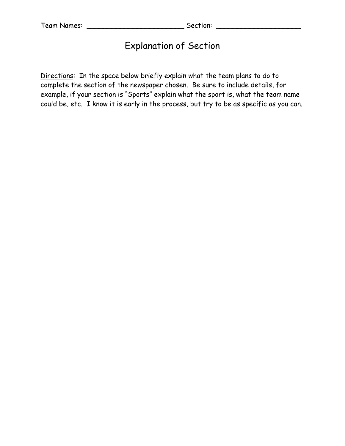### Explanation of Section

Directions: In the space below briefly explain what the team plans to do to complete the section of the newspaper chosen. Be sure to include details, for example, if your section is "Sports" explain what the sport is, what the team name could be, etc. I know it is early in the process, but try to be as specific as you can.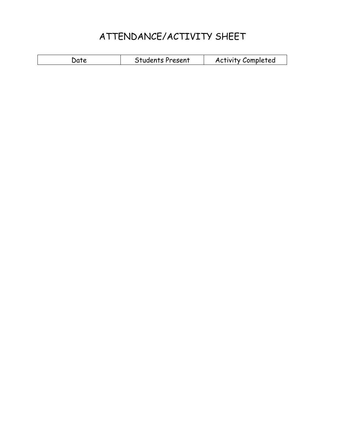## ATTENDANCE/ACTIVITY SHEET

| <b>Students Present</b><br><b>Activity Completed</b><br>.)ate |  |
|---------------------------------------------------------------|--|
|---------------------------------------------------------------|--|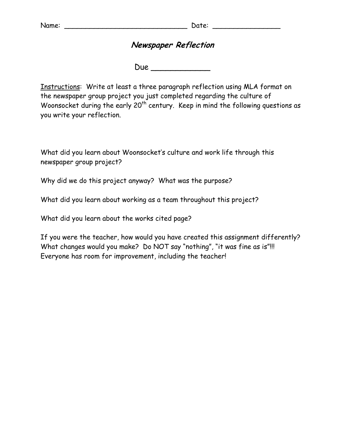### **Newspaper Reflection**

 $Due$ 

Instructions: Write at least a three paragraph reflection using MLA format on the newspaper group project you just completed regarding the culture of Woonsocket during the early  $20<sup>th</sup>$  century. Keep in mind the following questions as you write your reflection.

What did you learn about Woonsocket's culture and work life through this newspaper group project?

Why did we do this project anyway? What was the purpose?

What did you learn about working as a team throughout this project?

What did you learn about the works cited page?

If you were the teacher, how would you have created this assignment differently? What changes would you make? Do NOT say "nothing", "it was fine as is"!!! Everyone has room for improvement, including the teacher!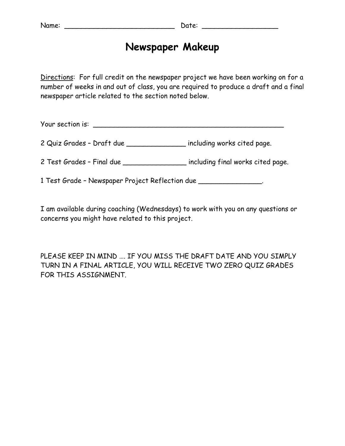### **Newspaper Makeup**

Directions: For full credit on the newspaper project we have been working on for a number of weeks in and out of class, you are required to produce a draft and a final newspaper article related to the section noted below.

Your section is: \_\_\_\_\_\_\_\_\_\_\_\_\_\_\_\_\_\_\_\_\_\_\_\_\_\_\_\_\_\_\_\_\_\_\_\_\_\_\_\_\_\_\_\_\_

2 Quiz Grades – Draft due \_\_\_\_\_\_\_\_\_\_\_\_\_\_ including works cited page.

2 Test Grades – Final due \_\_\_\_\_\_\_\_\_\_\_\_\_\_\_ including final works cited page.

1 Test Grade – Newspaper Project Reflection due \_\_\_\_\_\_\_\_\_\_\_\_\_\_\_.

I am available during coaching (Wednesdays) to work with you on any questions or concerns you might have related to this project.

PLEASE KEEP IN MIND …. IF YOU MISS THE DRAFT DATE AND YOU SIMPLY TURN IN A FINAL ARTICLE, YOU WILL RECEIVE TWO ZERO QUIZ GRADES FOR THIS ASSIGNMENT.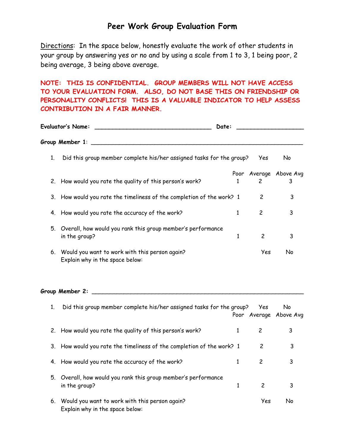### **Peer Work Group Evaluation Form**

Directions: In the space below, honestly evaluate the work of other students in your group by answering yes or no and by using a scale from 1 to 3, 1 being poor, 2 being average, 3 being above average.

#### **NOTE: THIS IS CONFIDENTIAL. GROUP MEMBERS WILL NOT HAVE ACCESS TO YOUR EVALUATION FORM. ALSO, DO NOT BASE THIS ON FRIENDSHIP OR PERSONALITY CONFLICTS! THIS IS A VALUABLE INDICATOR TO HELP ASSESS CONTRIBUTION IN A FAIR MANNER.**

| <b>Evaluator's Name:</b><br>Date: |                                                                                      |   |                |                             |
|-----------------------------------|--------------------------------------------------------------------------------------|---|----------------|-----------------------------|
|                                   | Group Member 1:                                                                      |   |                |                             |
| 1.                                | Did this group member complete his/her assigned tasks for the group?                 |   | Yes            | No                          |
|                                   | 2. How would you rate the quality of this person's work?                             |   | 2              | Poor Average Above Avg<br>3 |
|                                   | 3. How would you rate the timeliness of the completion of the work? 1                |   | 2              | 3                           |
|                                   | 4. How would you rate the accuracy of the work?                                      | 1 | 2              | 3                           |
|                                   | 5. Overall, how would you rank this group member's performance<br>in the group?      | 1 | $\overline{c}$ | 3                           |
|                                   | 6. Would you want to work with this person again?<br>Explain why in the space below: |   | Yes            | No                          |

### **Group Member 2:** \_\_\_\_\_\_\_\_\_\_\_\_\_\_\_\_\_\_\_\_\_\_\_\_\_\_\_\_\_\_\_\_\_\_\_\_\_\_\_\_\_\_\_\_\_\_\_\_\_\_\_\_\_\_\_\_\_\_\_\_

|    | Did this group member complete his/her assigned tasks for the group?              | Yes | No<br>Poor Average Above Avg |
|----|-----------------------------------------------------------------------------------|-----|------------------------------|
|    | 2. How would you rate the quality of this person's work?                          | 2   |                              |
|    | 3. How would you rate the timeliness of the completion of the work? 1             | 2   | 3                            |
|    | 4. How would you rate the accuracy of the work?                                   | 2   | 3                            |
|    | 5. Overall, how would you rank this group member's performance<br>in the group?   | 2   | 3                            |
| 6. | Would you want to work with this person again?<br>Explain why in the space below: | Yes | N٥                           |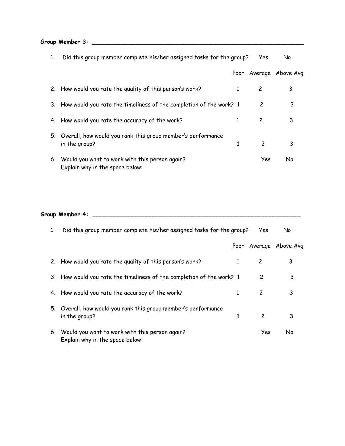**Group Member 3:** \_\_\_\_\_\_\_\_\_\_\_\_\_\_\_\_\_\_\_\_\_\_\_\_\_\_\_\_\_\_\_\_\_\_\_\_\_\_\_\_\_\_\_\_\_\_\_\_\_\_\_\_\_\_\_\_\_\_\_\_

|    | Did this group member complete his/her assigned tasks for the group?              |      | Yes            | No.               |
|----|-----------------------------------------------------------------------------------|------|----------------|-------------------|
|    |                                                                                   | Poor |                | Average Above Avg |
|    | 2. How would you rate the quality of this person's work?                          | 1    | 2              | 3                 |
| 3. | How would you rate the timeliness of the completion of the work? 1                |      | 2              | 3                 |
| 4. | How would you rate the accuracy of the work?                                      |      | 2              | 3                 |
| 5. | Overall, how would you rank this group member's performance<br>in the group?      |      | $\overline{c}$ | 3                 |
| 6. | Would you want to work with this person again?<br>Explain why in the space below: |      | Yes            | N٥                |

**Group Member 4:** \_\_\_\_\_\_\_\_\_\_\_\_\_\_\_\_\_\_\_\_\_\_\_\_\_\_\_\_\_\_\_\_\_\_\_\_\_\_\_\_\_\_\_\_\_\_\_\_\_\_\_\_\_\_\_\_\_\_\_

| 1. | Did this group member complete his/her assigned tasks for the group?              |   | Yes.          | No.                    |
|----|-----------------------------------------------------------------------------------|---|---------------|------------------------|
|    |                                                                                   |   |               | Poor Average Above Avg |
|    | 2. How would you rate the quality of this person's work?                          |   | 2             | 3                      |
| 3. | How would you rate the timeliness of the completion of the work? 1                |   | 2             | 3                      |
| 4. | How would you rate the accuracy of the work?                                      |   | 2             | 3                      |
| 5. | Overall, how would you rank this group member's performance<br>in the group?      | 1 | $\mathcal{P}$ | 3                      |
| 6. | Would you want to work with this person again?<br>Explain why in the space below: |   | Yes           | N٥                     |